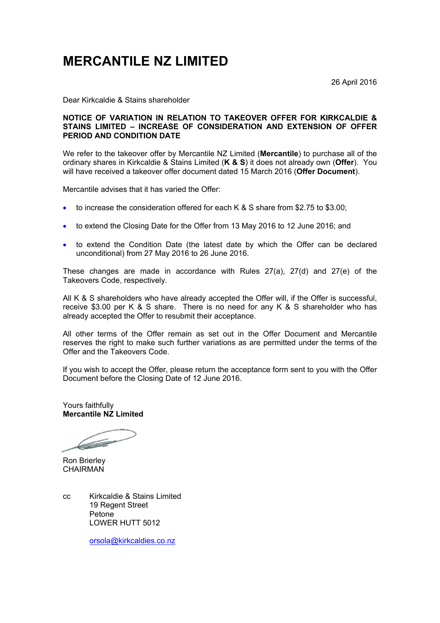## **MERCANTILE NZ LIMITED**

26 April 2016

Dear Kirkcaldie & Stains shareholder

## **NOTICE OF VARIATION IN RELATION TO TAKEOVER OFFER FOR KIRKCALDIE & STAINS LIMITED – INCREASE OF CONSIDERATION AND EXTENSION OF OFFER PERIOD AND CONDITION DATE**

We refer to the takeover offer by Mercantile NZ Limited (**Mercantile**) to purchase all of the ordinary shares in Kirkcaldie & Stains Limited (**K & S**) it does not already own (**Offer**). You will have received a takeover offer document dated 15 March 2016 (**Offer Document**).

Mercantile advises that it has varied the Offer:

- to increase the consideration offered for each K & S share from \$2.75 to \$3.00;
- to extend the Closing Date for the Offer from 13 May 2016 to 12 June 2016; and
- to extend the Condition Date (the latest date by which the Offer can be declared unconditional) from 27 May 2016 to 26 June 2016.

These changes are made in accordance with Rules 27(a), 27(d) and 27(e) of the Takeovers Code, respectively.

All K & S shareholders who have already accepted the Offer will, if the Offer is successful, receive \$3.00 per K & S share. There is no need for any K & S shareholder who has already accepted the Offer to resubmit their acceptance.

All other terms of the Offer remain as set out in the Offer Document and Mercantile reserves the right to make such further variations as are permitted under the terms of the Offer and the Takeovers Code.

If you wish to accept the Offer, please return the acceptance form sent to you with the Offer Document before the Closing Date of 12 June 2016.

Yours faithfully **Mercantile NZ Limited**

**Communication** 

Ron Brierley CHAIRMAN

cc Kirkcaldie & Stains Limited 19 Regent Street Petone LOWER HUTT 5012

orsola@kirkcaldies.co.nz